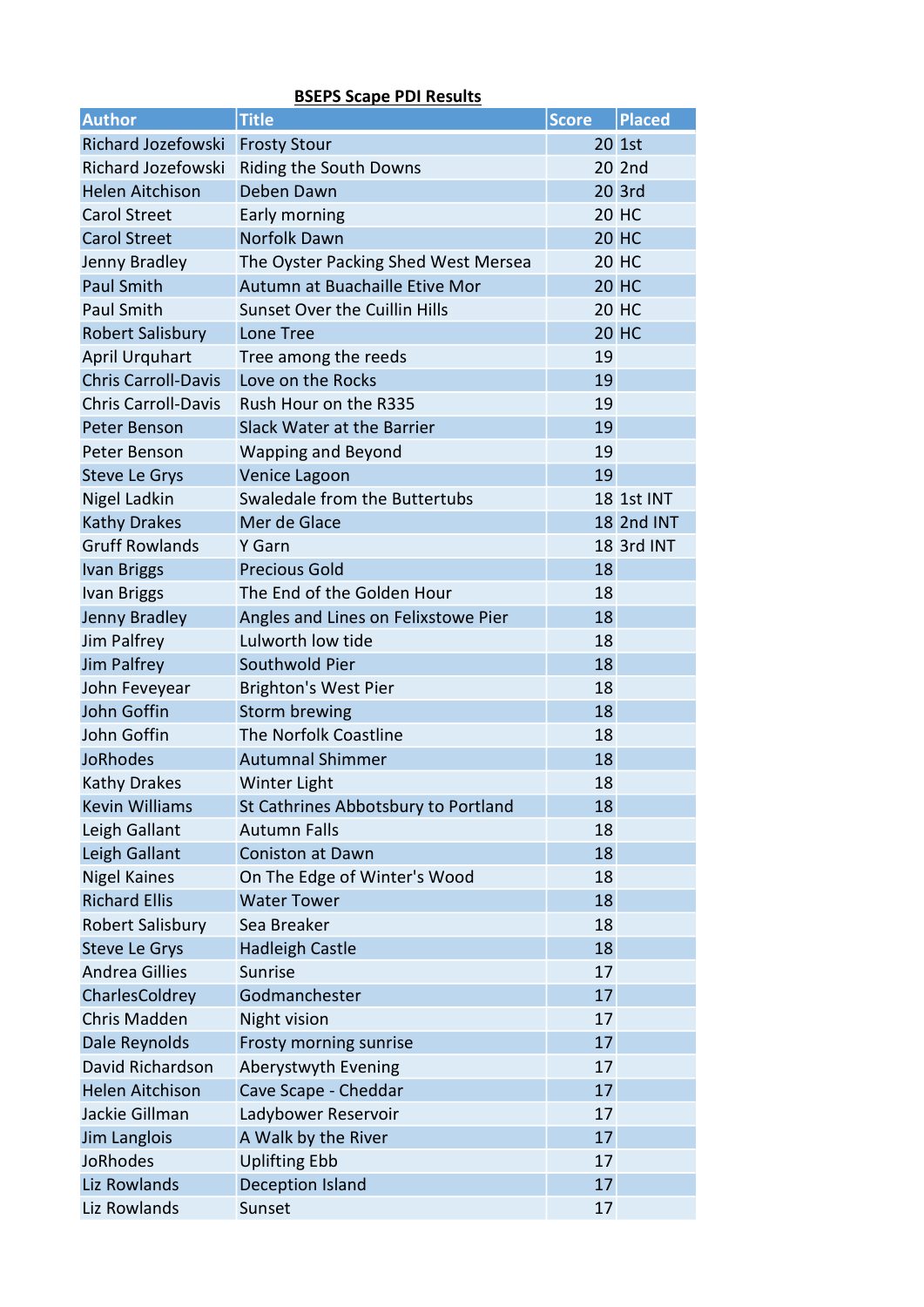| <b>Author</b>              | <b>Title</b>                         | <b>Score</b> | <b>Placed</b>     |
|----------------------------|--------------------------------------|--------------|-------------------|
| <b>Richard Jozefowski</b>  | <b>Frosty Stour</b>                  |              | 20 1st            |
| Richard Jozefowski         | <b>Riding the South Downs</b>        |              | 20 2nd            |
| <b>Helen Aitchison</b>     | Deben Dawn                           |              | 20 3rd            |
| <b>Carol Street</b>        | Early morning                        |              | <b>20 HC</b>      |
| <b>Carol Street</b>        | Norfolk Dawn                         |              | <b>20 HC</b>      |
| Jenny Bradley              | The Oyster Packing Shed West Mersea  |              | <b>20 HC</b>      |
| <b>Paul Smith</b>          | Autumn at Buachaille Etive Mor       |              | <b>20 HC</b>      |
| <b>Paul Smith</b>          | <b>Sunset Over the Cuillin Hills</b> |              | <b>20 HC</b>      |
| <b>Robert Salisbury</b>    | Lone Tree                            |              | <b>20 HC</b>      |
| <b>April Urquhart</b>      | Tree among the reeds                 | 19           |                   |
| <b>Chris Carroll-Davis</b> | Love on the Rocks                    | 19           |                   |
| <b>Chris Carroll-Davis</b> | Rush Hour on the R335                | 19           |                   |
| Peter Benson               | Slack Water at the Barrier           | 19           |                   |
| Peter Benson               | Wapping and Beyond                   | 19           |                   |
| <b>Steve Le Grys</b>       | Venice Lagoon                        | 19           |                   |
| Nigel Ladkin               | Swaledale from the Buttertubs        |              | <b>18 1st INT</b> |
| <b>Kathy Drakes</b>        | Mer de Glace                         |              | <b>18 2nd INT</b> |
| <b>Gruff Rowlands</b>      | Y Garn                               |              | 18 3rd INT        |
| <b>Ivan Briggs</b>         | <b>Precious Gold</b>                 | 18           |                   |
| <b>Ivan Briggs</b>         | The End of the Golden Hour           | 18           |                   |
| Jenny Bradley              | Angles and Lines on Felixstowe Pier  | 18           |                   |
| Jim Palfrey                | Lulworth low tide                    | 18           |                   |
| Jim Palfrey                | Southwold Pier                       | 18           |                   |
| John Feveyear              | <b>Brighton's West Pier</b>          | 18           |                   |
| John Goffin                | <b>Storm brewing</b>                 | 18           |                   |
| John Goffin                | The Norfolk Coastline                | 18           |                   |
| <b>JoRhodes</b>            | <b>Autumnal Shimmer</b>              | 18           |                   |
| <b>Kathy Drakes</b>        | Winter Light                         | 18           |                   |
| <b>Kevin Williams</b>      | St Cathrines Abbotsbury to Portland  | 18           |                   |
| Leigh Gallant              | <b>Autumn Falls</b>                  | 18           |                   |
| Leigh Gallant              | Coniston at Dawn                     | 18           |                   |
| <b>Nigel Kaines</b>        | On The Edge of Winter's Wood         | 18           |                   |
| <b>Richard Ellis</b>       | <b>Water Tower</b>                   | 18           |                   |
| Robert Salisbury           | Sea Breaker                          | 18           |                   |
| <b>Steve Le Grys</b>       | <b>Hadleigh Castle</b>               | 18           |                   |
| <b>Andrea Gillies</b>      | Sunrise                              | 17           |                   |
| CharlesColdrey             | Godmanchester                        | 17           |                   |
| <b>Chris Madden</b>        | Night vision                         | 17           |                   |
| Dale Reynolds              | Frosty morning sunrise               | 17           |                   |
| David Richardson           | Aberystwyth Evening                  | 17           |                   |
| <b>Helen Aitchison</b>     | Cave Scape - Cheddar                 | 17           |                   |
| Jackie Gillman             | Ladybower Reservoir                  | 17           |                   |
| Jim Langlois               | A Walk by the River                  | 17           |                   |
| <b>JoRhodes</b>            | <b>Uplifting Ebb</b>                 | 17           |                   |
| Liz Rowlands               | <b>Deception Island</b>              | 17           |                   |
| Liz Rowlands               | Sunset                               | 17           |                   |

## BSEPS Scape PDI Results